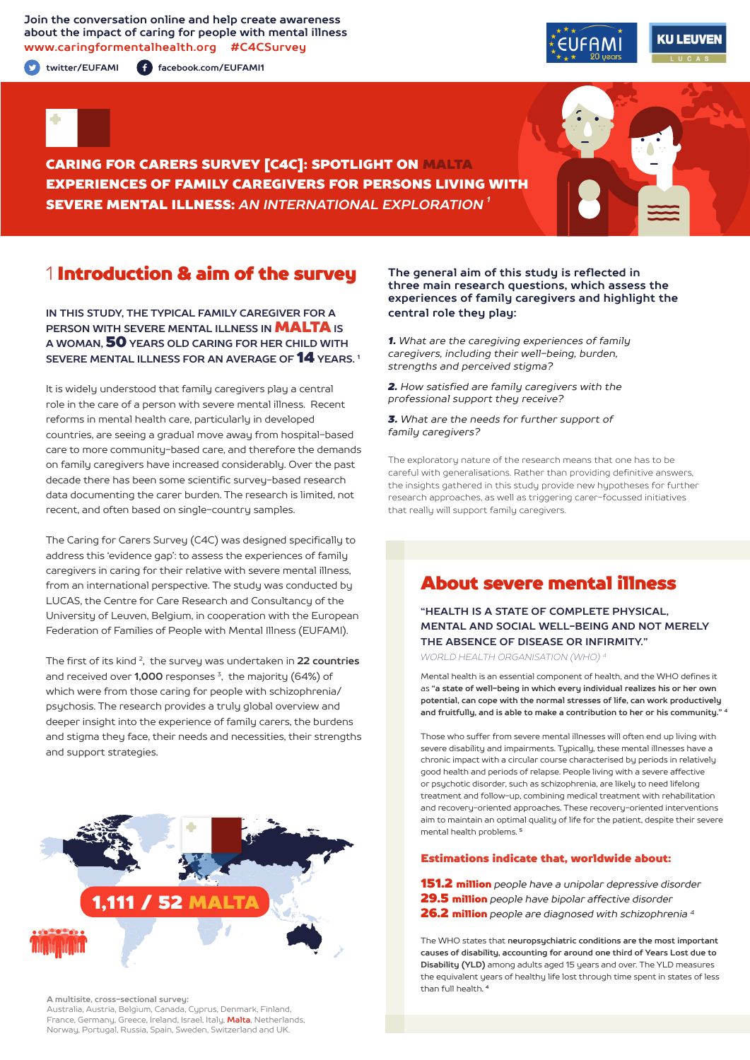### **Join the conversation online and help create awareness about the impact of caring for people with mental illness www.caringformentalhealth.org #C4CSurvey**

**twitter/EUFAMI facebook.com/EUFAMI1**





CARING FOR CARERS SURVEY [C4C]: SPOTLIGHT ON MALTA EXPERIENCES OF FAMILY CAREGIVERS FOR PERSONS LIVING WITH SEVERE MENTAL ILLNESS: *AN INTERNATIONAL EXPLORATION 1*

## 1 Introduction & aim of the survey

**IN THIS STUDY, THE TYPICAL FAMILY CAREGIVER FOR A PERSON WITH SEVERE MENTAL ILLNESS IN <b>MALTA** IS **A WOMAN,** 50 **YEARS OLD CARING FOR HER CHILD WITH SEVERE MENTAL ILLNESS FOR AN AVERAGE OF** 14 **YEARS. 1**

It is widely understood that family caregivers play a central role in the care of a person with severe mental illness. Recent reforms in mental health care, particularly in developed countries, are seeing a gradual move away from hospital-based care to more community-based care, and therefore the demands on family caregivers have increased considerably. Over the past decade there has been some scientific survey-based research data documenting the carer burden. The research is limited, not recent, and often based on single-country samples.

The Caring for Carers Survey (C4C) was designed specifically to address this 'evidence gap': to assess the experiences of family caregivers in caring for their relative with severe mental illness, from an international perspective. The study was conducted by LUCAS, the Centre for Care Research and Consultancy of the University of Leuven, Belgium, in cooperation with the European Federation of Families of People with Mental Illness (EUFAMI).

The first of its kind 2, the survey was undertaken in **22 countries** and received over **1,000** responses 3, the majority (64%) of which were from those caring for people with schizophrenia/ psychosis. The research provides a truly global overview and deeper insight into the experience of family carers, the burdens and stigma they face, their needs and necessities, their strengths and support strategies.



**A multisite, cross-sectional survey:** 

Australia, Austria, Belgium, Canada, Cyprus, Denmark, Finland, France, Germany, Greece, Ireland, Israel, Italy, **Malta**, Netherlands, Norway, Portugal, Russia, Spain, Sweden, Switzerland and UK.

#### **The general aim of this study is reflected in three main research questions, which assess the experiences of family caregivers and highlight the central role they play:**

*1. What are the caregiving experiences of family caregivers, including their well-being, burden, strengths and perceived stigma?*

*2. How satisfied are family caregivers with the professional support they receive?*

*3. What are the needs for further support of family caregivers?*

The exploratory nature of the research means that one has to be careful with generalisations. Rather than providing definitive answers, the insights gathered in this study provide new hypotheses for further research approaches, as well as triggering carer-focussed initiatives that really will support family caregivers.

# About severe mental illness

**"HEALTH IS A STATE OF COMPLETE PHYSICAL, MENTAL AND SOCIAL WELL-BEING AND NOT MERELY THE ABSENCE OF DISEASE OR INFIRMITY."**

*WORLD HEALTH ORGANISATION (WHO) 4*

Mental health is an essential component of health, and the WHO defines it as **"a state of well-being in which every individual realizes his or her own potential, can cope with the normal stresses of life, can work productively and fruitfully, and is able to make a contribution to her or his community." <sup>4</sup>**

Those who suffer from severe mental illnesses will often end up living with severe disability and impairments. Typically, these mental illnesses have a chronic impact with a circular course characterised by periods in relatively good health and periods of relapse. People living with a severe affective or psychotic disorder, such as schizophrenia, are likely to need lifelong treatment and follow-up, combining medical treatment with rehabilitation and recovery-oriented approaches. These recovery-oriented interventions aim to maintain an optimal quality of life for the patient, despite their severe mental health problems. **<sup>5</sup>**

#### Estimations indicate that, worldwide about:

151.2 million *people have a unipolar depressive disorder* 29.5 million *people have bipolar affective disorder*  26.2 million *people are diagnosed with schizophrenia 4*

The WHO states that **neuropsychiatric conditions are the most important causes of disability, accounting for around one third of Years Lost due to Disability (YLD)** among adults aged 15 years and over. The YLD measures the equivalent years of healthy life lost through time spent in states of less than full health. **<sup>4</sup>**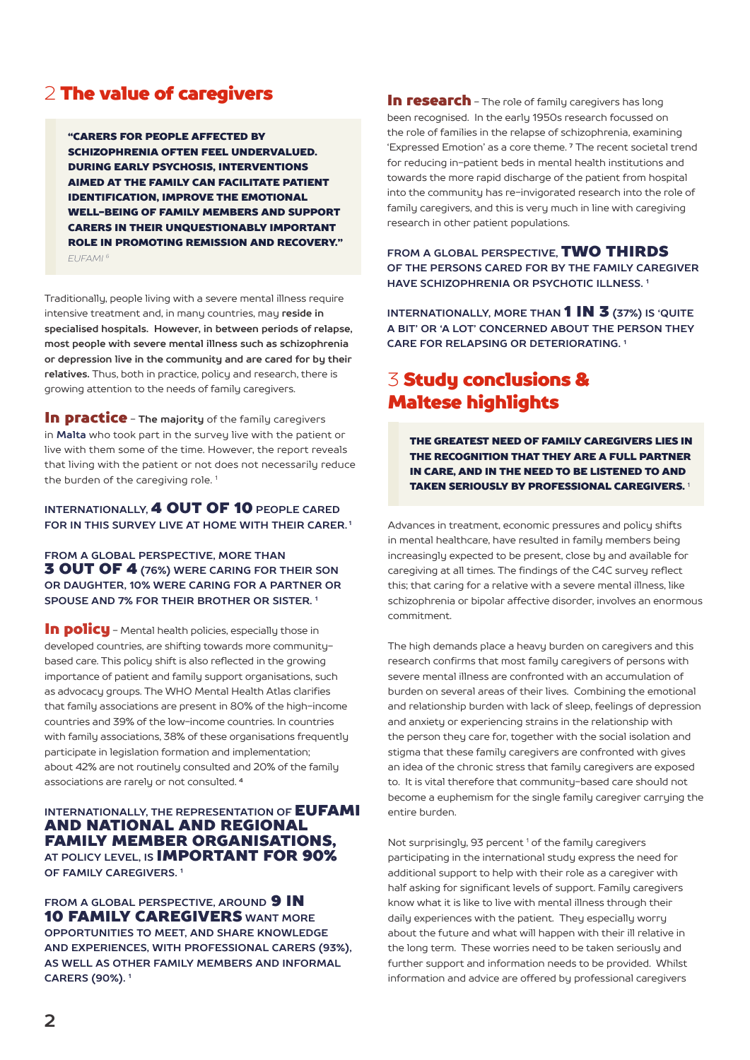# 2 The value of caregivers

"CARERS FOR PEOPLE AFFECTED BY SCHIZOPHRENIA OFTEN FEEL UNDERVALUED. DURING EARLY PSYCHOSIS, INTERVENTIONS AIMED AT THE FAMILY CAN FACILITATE PATIENT IDENTIFICATION, IMPROVE THE EMOTIONAL WELL-BEING OF FAMILY MEMBERS AND SUPPORT CARERS IN THEIR UNQUESTIONABLY IMPORTANT ROLE IN PROMOTING REMISSION AND RECOVERY." *EUFAMI 6*

Traditionally, people living with a severe mental illness require intensive treatment and, in many countries, may **reside in specialised hospitals. However, in between periods of relapse, most people with severe mental illness such as schizophrenia or depression live in the community and are cared for by their relatives.** Thus, both in practice, policy and research, there is growing attention to the needs of family caregivers.

In practice - **The majority** of the family caregivers in **Malta** who took part in the survey live with the patient or live with them some of the time. However, the report reveals that living with the patient or not does not necessarily reduce the burden of the caregiving role.<sup>1</sup>

### **INTERNATIONALLY,** 4 OUT OF 10 **PEOPLE CARED FOR IN THIS SURVEY LIVE AT HOME WITH THEIR CARER. 1**

### **FROM A GLOBAL PERSPECTIVE, MORE THAN** 3 OUT OF 4 **(76%) WERE CARING FOR THEIR SON OR DAUGHTER, 10% WERE CARING FOR A PARTNER OR SPOUSE AND 7% FOR THEIR BROTHER OR SISTER. 1**

In policu - Mental health policies, especially those in developed countries, are shifting towards more communitybased care. This policy shift is also reflected in the growing importance of patient and family support organisations, such as advocacy groups. The WHO Mental Health Atlas clarifies that family associations are present in 80% of the high-income countries and 39% of the low-income countries. In countries with family associations, 38% of these organisations frequently participate in legislation formation and implementation; about 42% are not routinely consulted and 20% of the family associations are rarely or not consulted. **<sup>4</sup>**

### **INTERNATIONALLY, THE REPRESENTATION OF EUFAMI** AND NATIONAL AND REGIONAL FAMILY MEMBER ORGANISATIONS, **AT POLICY LEVEL, IS** IMPORTANT FOR 90% **OF FAMILY CAREGIVERS. 1**

**FROM A GLOBAL PERSPECTIVE, AROUND 9 IN** 10 FAMILY CAREGIVERS **WANT MORE OPPORTUNITIES TO MEET, AND SHARE KNOWLEDGE AND EXPERIENCES, WITH PROFESSIONAL CARERS (93%), AS WELL AS OTHER FAMILY MEMBERS AND INFORMAL CARERS (90%). 1**

In research - The role of family caregivers has long been recognised. In the early 1950s research focussed on the role of families in the relapse of schizophrenia, examining 'Expressed Emotion' as a core theme. **7** The recent societal trend for reducing in-patient beds in mental health institutions and towards the more rapid discharge of the patient from hospital into the community has re-invigorated research into the role of family caregivers, and this is very much in line with caregiving research in other patient populations.

**FROM A GLOBAL PERSPECTIVE,** TWO THIRDS **OF THE PERSONS CARED FOR BY THE FAMILY CAREGIVER HAVE SCHIZOPHRENIA OR PSYCHOTIC ILLNESS. 1**

**INTERNATIONALLY, MORE THAN 1 IN 3 (37%) IS 'QUITE A BIT' OR 'A LOT' CONCERNED ABOUT THE PERSON THEY CARE FOR RELAPSING OR DETERIORATING. 1**

# 3 Study conclusions & Maltese highlights

THE GREATEST NEED OF FAMILY CAREGIVERS LIES IN THE RECOGNITION THAT THEY ARE A FULL PARTNER IN CARE, AND IN THE NEED TO BE LISTENED TO AND TAKEN SERIOUSLY BY PROFESSIONAL CAREGIVERS. <sup>1</sup>

Advances in treatment, economic pressures and policy shifts in mental healthcare, have resulted in family members being increasingly expected to be present, close by and available for caregiving at all times. The findings of the C4C survey reflect this; that caring for a relative with a severe mental illness, like schizophrenia or bipolar affective disorder, involves an enormous commitment.

The high demands place a heavy burden on caregivers and this research confirms that most family caregivers of persons with severe mental illness are confronted with an accumulation of burden on several areas of their lives. Combining the emotional and relationship burden with lack of sleep, feelings of depression and anxiety or experiencing strains in the relationship with the person they care for, together with the social isolation and stigma that these family caregivers are confronted with gives an idea of the chronic stress that family caregivers are exposed to. It is vital therefore that community-based care should not become a euphemism for the single family caregiver carrying the entire burden.

Not surprisingly, 93 percent<sup>1</sup> of the family caregivers participating in the international study express the need for additional support to help with their role as a caregiver with half asking for significant levels of support. Family caregivers know what it is like to live with mental illness through their daily experiences with the patient. They especially worry about the future and what will happen with their ill relative in the long term. These worries need to be taken seriously and further support and information needs to be provided. Whilst information and advice are offered by professional caregivers